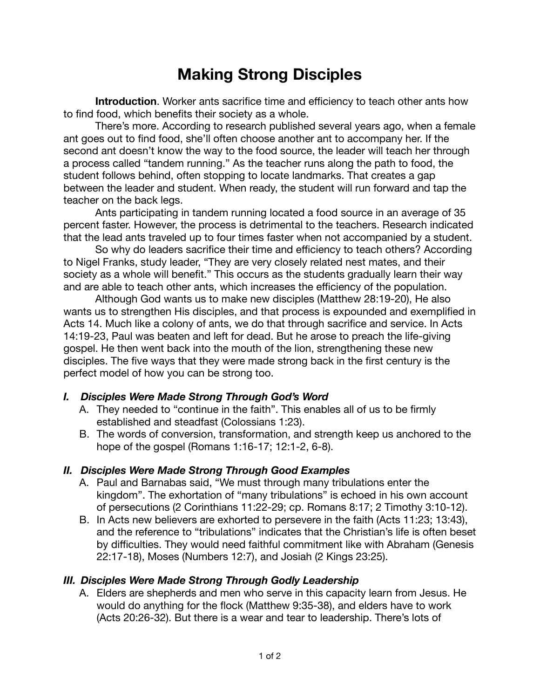# **Making Strong Disciples**

**Introduction**. Worker ants sacrifice time and efficiency to teach other ants how to find food, which benefits their society as a whole.

There's more. According to research published several years ago, when a female ant goes out to find food, she'll often choose another ant to accompany her. If the second ant doesn't know the way to the food source, the leader will teach her through a process called "tandem running." As the teacher runs along the path to food, the student follows behind, often stopping to locate landmarks. That creates a gap between the leader and student. When ready, the student will run forward and tap the teacher on the back legs.

Ants participating in tandem running located a food source in an average of 35 percent faster. However, the process is detrimental to the teachers. Research indicated that the lead ants traveled up to four times faster when not accompanied by a student.

So why do leaders sacrifice their time and efficiency to teach others? According to Nigel Franks, study leader, "They are very closely related nest mates, and their society as a whole will benefit." This occurs as the students gradually learn their way and are able to teach other ants, which increases the efficiency of the population.

Although God wants us to make new disciples (Matthew 28:19-20), He also wants us to strengthen His disciples, and that process is expounded and exemplified in Acts 14. Much like a colony of ants, we do that through sacrifice and service. In Acts 14:19-23, Paul was beaten and left for dead. But he arose to preach the life-giving gospel. He then went back into the mouth of the lion, strengthening these new disciples. The five ways that they were made strong back in the first century is the perfect model of how you can be strong too.

### *I. Disciples Were Made Strong Through God's Word*

- A. They needed to "continue in the faith". This enables all of us to be firmly established and steadfast (Colossians 1:23).
- B. The words of conversion, transformation, and strength keep us anchored to the hope of the gospel (Romans 1:16-17; 12:1-2, 6-8).

### *II. Disciples Were Made Strong Through Good Examples*

- A. Paul and Barnabas said, "We must through many tribulations enter the kingdom". The exhortation of "many tribulations" is echoed in his own account of persecutions (2 Corinthians 11:22-29; cp. Romans 8:17; 2 Timothy 3:10-12).
- B. In Acts new believers are exhorted to persevere in the faith (Acts 11:23; 13:43), and the reference to "tribulations" indicates that the Christian's life is often beset by difficulties. They would need faithful commitment like with Abraham (Genesis 22:17-18), Moses (Numbers 12:7), and Josiah (2 Kings 23:25).

### *III. Disciples Were Made Strong Through Godly Leadership*

A. Elders are shepherds and men who serve in this capacity learn from Jesus. He would do anything for the flock (Matthew 9:35-38), and elders have to work (Acts 20:26-32). But there is a wear and tear to leadership. There's lots of